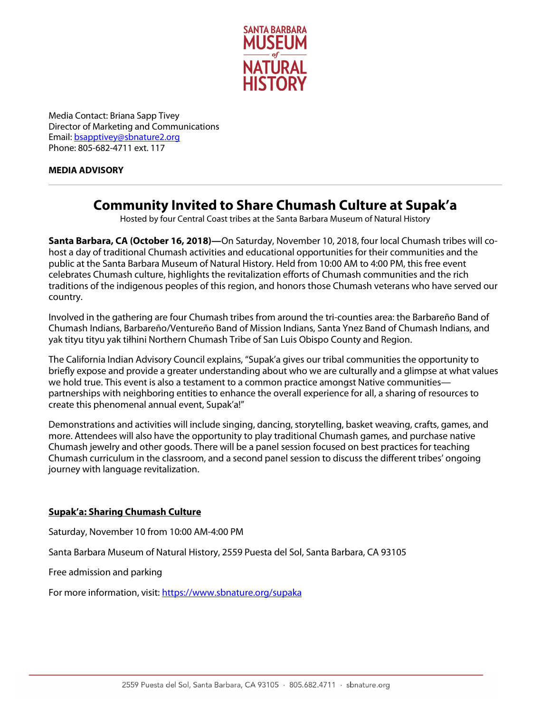

Media Contact: Briana Sapp Tivey Director of Marketing and Communications Email[: bsapptivey@sbnature2.org](mailto:bsapptivey@sbnature2.org) Phone: 805-682-4711 ext. 117

## **MEDIA ADVISORY**

## **Community Invited to Share Chumash Culture at Supak'a**

Hosted by four Central Coast tribes at the Santa Barbara Museum of Natural History

**Santa Barbara, CA (October 16, 2018)—**On Saturday, November 10, 2018, four local Chumash tribes will cohost a day of traditional Chumash activities and educational opportunities for their communities and the public at the Santa Barbara Museum of Natural History. Held from 10:00 AM to 4:00 PM, this free event celebrates Chumash culture, highlights the revitalization efforts of Chumash communities and the rich traditions of the indigenous peoples of this region, and honors those Chumash veterans who have served our country.

Involved in the gathering are four Chumash tribes from around the tri-counties area: the Barbareño Band of Chumash Indians, Barbareño/Ventureño Band of Mission Indians, Santa Ynez Band of Chumash Indians, and yak tityu tityu yak tiłhini Northern Chumash Tribe of San Luis Obispo County and Region.

The California Indian Advisory Council explains, "Supak'a gives our tribal communities the opportunity to briefly expose and provide a greater understanding about who we are culturally and a glimpse at what values we hold true. This event is also a testament to a common practice amongst Native communities partnerships with neighboring entities to enhance the overall experience for all, a sharing of resources to create this phenomenal annual event, Supak'a!"

Demonstrations and activities will include singing, dancing, storytelling, basket weaving, crafts, games, and more. Attendees will also have the opportunity to play traditional Chumash games, and purchase native Chumash jewelry and other goods. There will be a panel session focused on best practices for teaching Chumash curriculum in the classroom, and a second panel session to discuss the different tribes' ongoing journey with language revitalization.

## **Supak'a: Sharing Chumash Culture**

Saturday, November 10 from 10:00 AM-4:00 PM

Santa Barbara Museum of Natural History, 2559 Puesta del Sol, Santa Barbara, CA 93105

Free admission and parking

For more information, visit:<https://www.sbnature.org/supaka>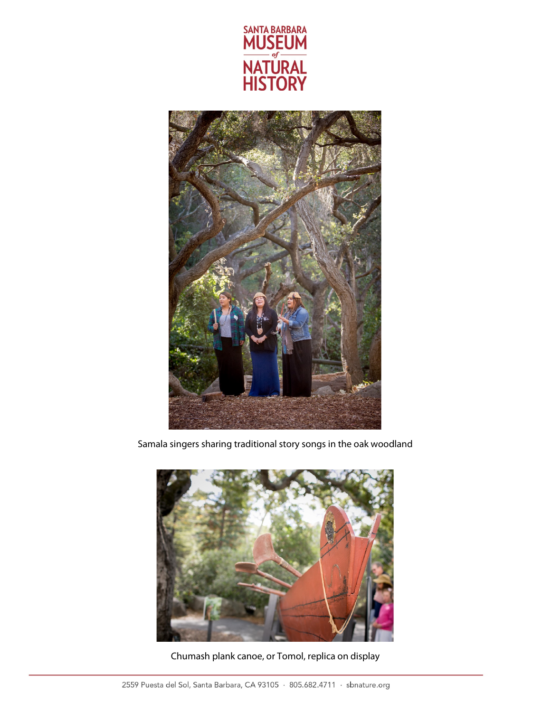



Samala singers sharing traditional story songs in the oak woodland



Chumash plank canoe, or Tomol, replica on display